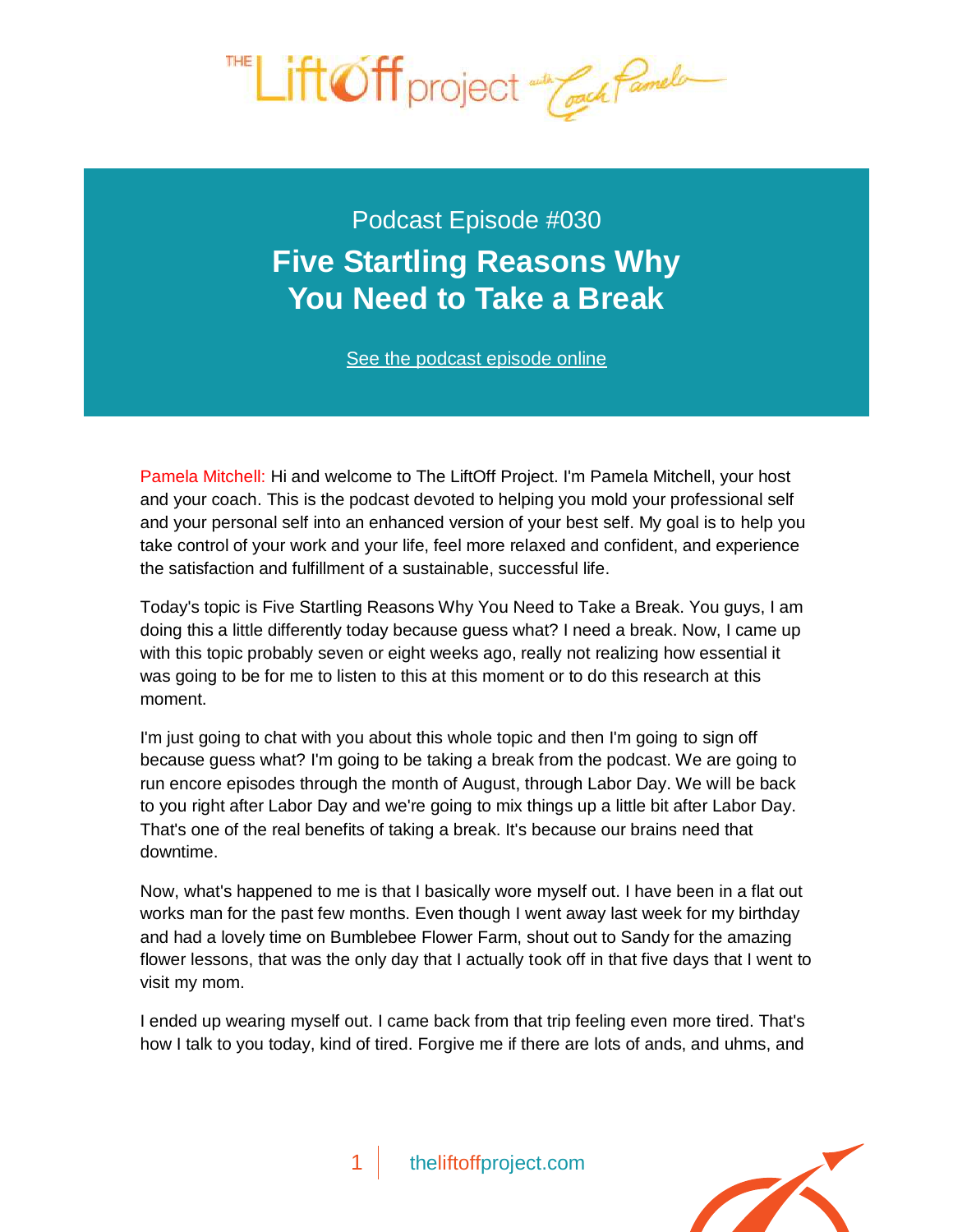

Podcast Episode #030 **[Five Startling Reasons Why](http://theliftoffproject.com/five-startling-reasons-need-take-break/)  You Need to Take a Break**

*See the podcast episode online*

Pamela Mitchell: Hi and welcome to The LiftOff Project. I'm Pamela Mitchell, your host and your coach. This is the podcast devoted to helping you mold your professional self and your personal self into an enhanced version of your best self. My goal is to help you take control of your work and your life, feel more relaxed and confident, and experience the satisfaction and fulfillment of a sustainable, successful life.

Today's topic is Five Startling Reasons Why You Need to Take a Break. You guys, I am doing this a little differently today because guess what? I need a break. Now, I came up with this topic probably seven or eight weeks ago, really not realizing how essential it was going to be for me to listen to this at this moment or to do this research at this moment.

I'm just going to chat with you about this whole topic and then I'm going to sign off because guess what? I'm going to be taking a break from the podcast. We are going to run encore episodes through the month of August, through Labor Day. We will be back to you right after Labor Day and we're going to mix things up a little bit after Labor Day. That's one of the real benefits of taking a break. It's because our brains need that downtime.

Now, what's happened to me is that I basically wore myself out. I have been in a flat out works man for the past few months. Even though I went away last week for my birthday and had a lovely time on Bumblebee Flower Farm, shout out to Sandy for the amazing flower lessons, that was the only day that I actually took off in that five days that I went to visit my mom.

I ended up wearing myself out. I came back from that trip feeling even more tired. That's how I talk to you today, kind of tired. Forgive me if there are lots of ands, and uhms, and

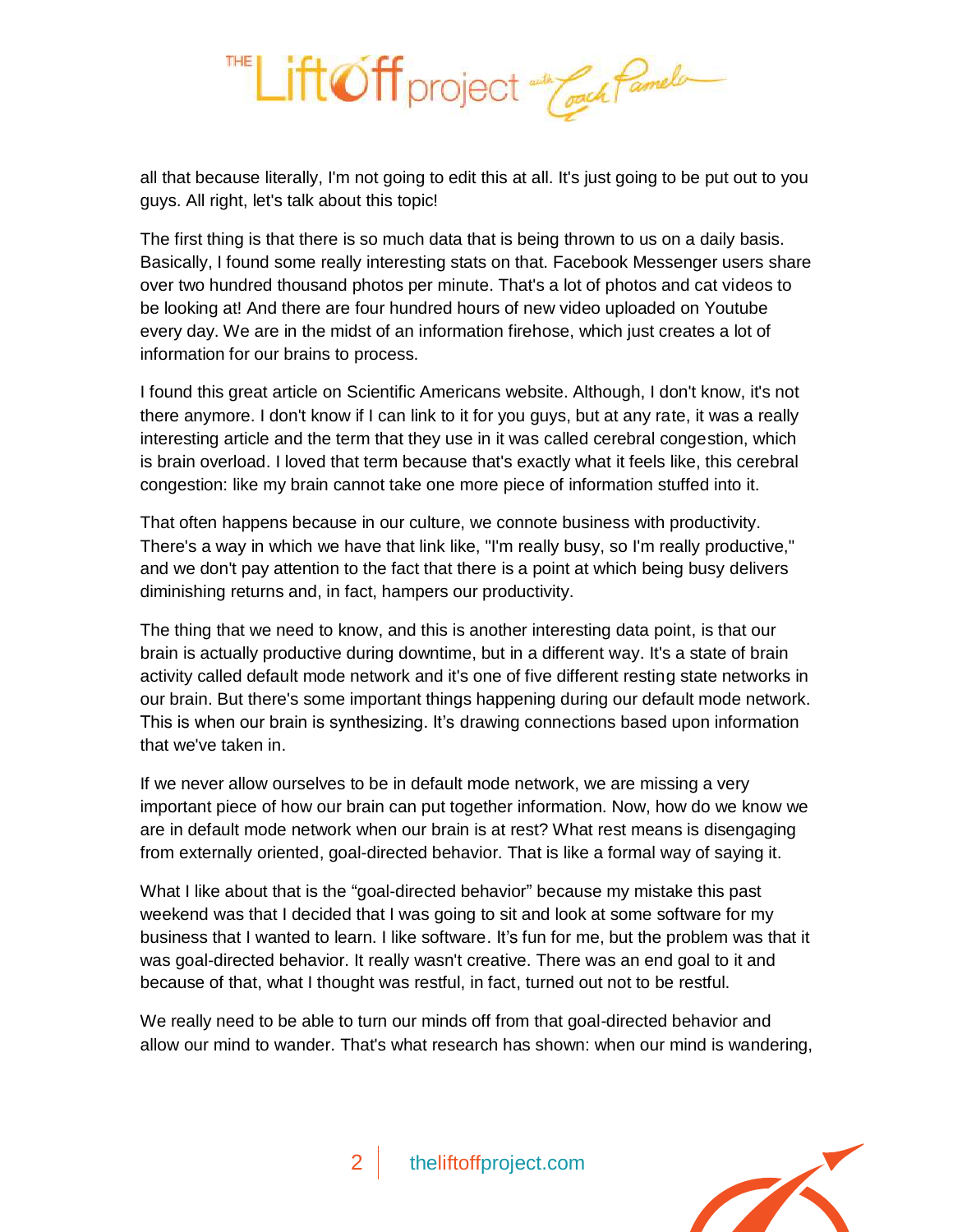

all that because literally, I'm not going to edit this at all. It's just going to be put out to you guys. All right, let's talk about this topic!

The first thing is that there is so much data that is being thrown to us on a daily basis. Basically, I found some really interesting stats on that. Facebook Messenger users share over two hundred thousand photos per minute. That's a lot of photos and cat videos to be looking at! And there are four hundred hours of new video uploaded on Youtube every day. We are in the midst of an information firehose, which just creates a lot of information for our brains to process.

I found this great article on *Scientific Americans* website. Although, I don't know, it's not there anymore. I don't know if I can link to it for you guys, but at any rate, it was a really interesting article and the term that they use in it was called cerebral congestion, which is brain overload. I loved that term because that's exactly what it feels like, this cerebral congestion: like my brain cannot take one more piece of information stuffed into it.

That often happens because in our culture, we connote business with productivity. There's a way in which we have that link like, "I'm really busy, so I'm really productive," and we don't pay attention to the fact that there is a point at which being busy delivers diminishing returns and, in fact, hampers our productivity.

The thing that we need to know, and this is another interesting data point, is that our brain is actually productive during downtime, but in a different way. It's a state of brain activity called default mode network and it's one of five different resting state networks in our brain. But there's some important things happening during our default mode network. This is when our brain is synthesizing. It's drawing connections based upon information that we've taken in.

If we never allow ourselves to be in default mode network, we are missing a very important piece of how our brain can put together information. Now, how do we know we are in default mode network when our brain is at rest? What rest means is disengaging from externally oriented, goal-directed behavior. That is like a formal way of saying it.

What I like about that is the "goal-directed behavior" because my mistake this past weekend was that I decided that I was going to sit and look at some software for my business that I wanted to learn. I like software. It's fun for me, but the problem was that it was goal-directed behavior. It really wasn't creative. There was an end goal to it and because of that, what I thought was restful, in fact, turned out not to be restful.

We really need to be able to turn our minds off from that goal-directed behavior and allow our mind to wander. That's what research has shown: when our mind is wandering,



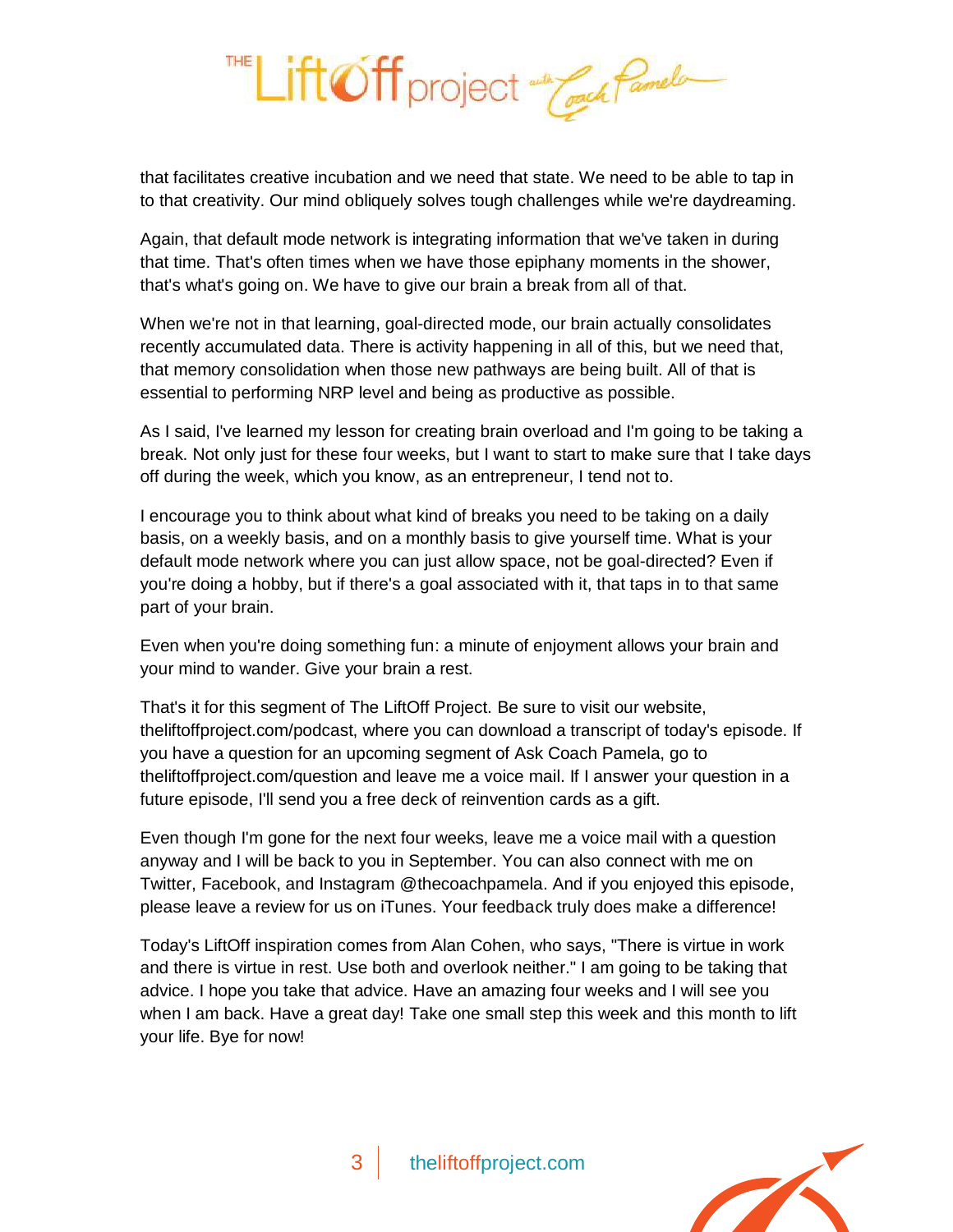

that facilitates creative incubation and we need that state. We need to be able to tap in to that creativity. Our mind obliquely solves tough challenges while we're daydreaming.

Again, that default mode network is integrating information that we've taken in during that time. That's often times when we have those epiphany moments in the shower, that's what's going on. We have to give our brain a break from all of that.

When we're not in that learning, goal-directed mode, our brain actually consolidates recently accumulated data. There is activity happening in all of this, but we need that, that memory consolidation when those new pathways are being built. All of that is essential to performing NRP level and being as productive as possible.

As I said, I've learned my lesson for creating brain overload and I'm going to be taking a break. Not only just for these four weeks, but I want to start to make sure that I take days off during the week, which you know, as an entrepreneur, I tend not to.

I encourage you to think about what kind of breaks you need to be taking on a daily basis, on a weekly basis, and on a monthly basis to give yourself time. What is your default mode network where you can just allow space, not be goal-directed? Even if you're doing a hobby, but if there's a goal associated with it, that taps in to that same part of your brain.

Even when you're doing something fun: a minute of enjoyment allows your brain and your mind to wander. Give your brain a rest.

That's it for this segment of The LiftOff Project. Be sure to visit our website, theliftoffproject.com/podcast, where you can download a transcript of today's episode. If you have a question for an upcoming segment of Ask Coach Pamela, go to theliftoffproject.com/question and leave me a voice mail. If I answer your question in a future episode, I'll send you a free deck of reinvention cards as a gift.

Even though I'm gone for the next four weeks, leave me a voice mail with a question anyway and I will be back to you in September. You can also connect with me on Twitter, Facebook, and Instagram @thecoachpamela. And if you enjoyed this episode, please leave a review for us on iTunes. Your feedback truly does make a difference!

Today's LiftOff inspiration comes from Alan Cohen, who says, "There is virtue in work and there is virtue in rest. Use both and overlook neither." I am going to be taking that advice. I hope you take that advice. Have an amazing four weeks and I will see you when I am back. Have a great day! Take one small step this week and this month to lift your life. Bye for now!